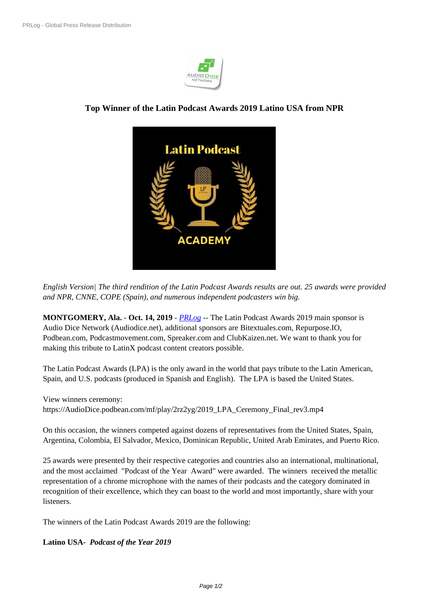

## **Top Winner of the Latin P[odcast Awa](https://biz.prlog.org/potencialmillonario/)rds 2019 Latino USA from NPR**



*English Version| The third [rendition of the Latin Podcast Awards results](https://www.prlog.org/12793676-12763746-lp-logo-academy.png) are out. 25 awards were provided and NPR, CNNE, COPE (Spain), and numerous independent podcasters win big.*

**MONTGOMERY, Ala.** - **Oct. 14, 2019** - *PRLog* -- The Latin Podcast Awards 2019 main sponsor is Audio Dice Network (Audiodice.net), additional sponsors are Bitextuales.com, Repurpose.IO, Podbean.com, Podcastmovement.com, Spreaker.com and ClubKaizen.net. We want to thank you for making this tribute to LatinX podcast cont[ent crea](https://www.prlog.org)tors possible.

The Latin Podcast Awards (LPA) is the only award in the world that pays tribute to the Latin American, Spain, and U.S. podcasts (produced in Spanish and English). The LPA is based the United States.

View winners ceremony: https://AudioDice.podbean.com/mf/play/2rz2yg/2019\_LPA\_Ceremony\_Final\_rev3.mp4

On this occasion, the winners competed against dozens of representatives from the United States, Spain, Argentina, Colombia, El Salvador, Mexico, Dominican Republic, United Arab Emirates, and Puerto Rico.

25 awards were presented by their respective categories and countries also an international, multinational, and the most acclaimed "Podcast of the Year Award" were awarded. The winners received the metallic representation of a chrome microphone with the names of their podcasts and the category dominated in recognition of their excellence, which they can boast to the world and most importantly, share with your listeners.

The winners of the Latin Podcast Awards 2019 are the following:

## **Latino USA-** *Podcast of the Year 2019*